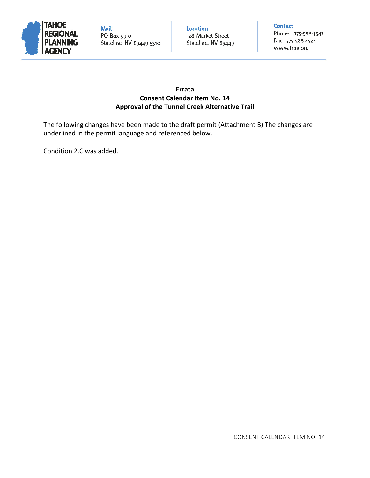

**Mail** PO Box 5310 Stateline, NV 89449-5310 Location 128 Market Street Stateline, NV 89449 **Contact** 

Phone: 775-588-4547 Fax: 775-588-4527 www.trpa.org

# **Errata Consent Calendar Item No. 14 Approval of the Tunnel Creek Alternative Trail**

The following changes have been made to the draft permit (Attachment B) The changes are underlined in the permit language and referenced below.

Condition 2.C was added.

CONSENT CALENDAR ITEM NO. 14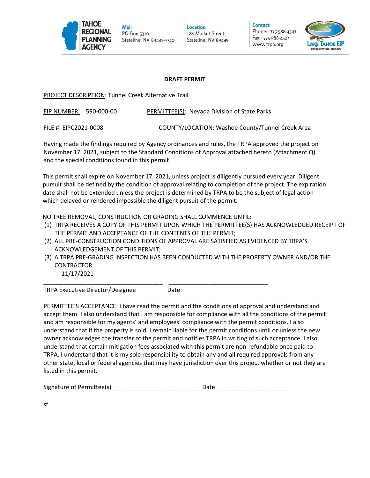

Mail PO Box 5310 Stateline, NV 89449-5310 Location 128 Market Street Stateline, NV 89449 **Contact** Phone: 775-588-4547

Fax: 775-588-4527

www.trpa.org

# **DRAFT PERMIT**

PROJECT DESCRIPTION: Tunnel Creek Alternative Trail

EIP NUMBER: 590-000-00 PERMITTEE(S): Nevada Division of State Parks

FILE #: EIPC2021-0008 COUNTY/LOCATION: Washoe County/Tunnel Creek Area

Having made the findings required by Agency ordinances and rules, the TRPA approved the project on November 17, 2021, subject to the Standard Conditions of Approval attached hereto (Attachment Q) and the special conditions found in this permit.

This permit shall expire on November 17, 2021, unless project is diligently pursued every year. Diligent pursuit shall be defined by the condition of approval relating to completion of the project. The expiration date shall not be extended unless the project is determined by TRPA to be the subject of legal action which delayed or rendered impossible the diligent pursuit of the permit.

NO TREE REMOVAL, CONSTRUCTION OR GRADING SHALL COMMENCE UNTIL:

- (1) TRPA RECEIVES A COPY OF THIS PERMIT UPON WHICH THE PERMITTEE(S) HAS ACKNOWLEDGED RECEIPT OF THE PERMIT AND ACCEPTANCE OF THE CONTENTS OF THE PERMIT;
- (2) ALL PRE-CONSTRUCTION CONDITIONS OF APPROVAL ARE SATISFIED AS EVIDENCED BY TRPA'S ACKNOWLEDGEMENT OF THIS PERMIT;
- (3) A TRPA PRE-GRADING INSPECTION HAS BEEN CONDUCTED WITH THE PROPERTY OWNER AND/OR THE CONTRACTOR.
- 11/17/2021 \_\_\_\_\_\_\_\_\_\_\_\_\_\_\_\_\_\_\_\_\_\_\_\_\_\_\_\_\_\_\_\_\_\_\_\_ \_\_\_\_\_\_\_\_\_\_\_\_\_\_\_\_\_\_\_\_\_\_\_\_\_\_\_\_\_\_

TRPA Executive Director/Designee Date

PERMITTEE'S ACCEPTANCE: I have read the permit and the conditions of approval and understand and accept them. I also understand that I am responsible for compliance with all the conditions of the permit and am responsible for my agents' and employees' compliance with the permit conditions. I also understand that if the property is sold, I remain liable for the permit conditions until or unless the new owner acknowledges the transfer of the permit and notifies TRPA in writing of such acceptance. I also understand that certain mitigation fees associated with this permit are non-refundable once paid to TRPA. I understand that it is my sole responsibility to obtain any and all required approvals from any other state, local or federal agencies that may have jurisdiction over this project whether or not they are listed in this permit.

| Signature of Permittee(s) |  |  |
|---------------------------|--|--|
|                           |  |  |

sf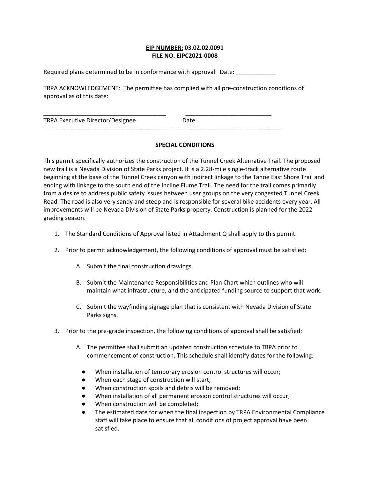### **EIP NUMBER: 03.02.02.0091 FILE NO. EIPC2021-0008**

Required plans determined to be in conformance with approval: Date:

TRPA ACKNOWLEDGEMENT: The permittee has complied with all pre-construction conditions of approval as of this date:

| TRPA Executive Director/Designee    | Date |  |
|-------------------------------------|------|--|
| ----------------------------------- |      |  |

## **SPECIAL CONDITIONS**

This permit specifically authorizes the construction of the Tunnel Creek Alternative Trail. The proposed new trail is a Nevada Division of State Parks project. It is a 2.28-mile single-track alternative route beginning at the base of the Tunnel Creek canyon with indirect linkage to the Tahoe East Shore Trail and ending with linkage to the south end of the Incline Flume Trail. The need for the trail comes primarily from a desire to address public safety issues between user groups on the very congested Tunnel Creek Road. The road is also very sandy and steep and is responsible for several bike accidents every year. All improvements will be Nevada Division of State Parks property. Construction is planned for the 2022 grading season.

- 1. The Standard Conditions of Approval listed in Attachment Q shall apply to this permit.
- 2. Prior to permit acknowledgement, the following conditions of approval must be satisfied:
	- A. Submit the final construction drawings.
	- B. Submit the Maintenance Responsibilities and Plan Chart which outlines who will maintain what infrastructure, and the anticipated funding source to support that work.
	- C. Submit the wayfinding signage plan that is consistent with Nevada Division of State Parks signs.
- 3. Prior to the pre-grade inspection, the following conditions of approval shall be satisfied:
	- A. The permittee shall submit an updated construction schedule to TRPA prior to commencement of construction. This schedule shall identify dates for the following:
		- When installation of temporary erosion control structures will occur;
		- When each stage of construction will start;
		- When construction spoils and debris will be removed;
		- When installation of all permanent erosion control structures will occur;
		- When construction will be completed;
		- The estimated date for when the final inspection by TRPA Environmental Compliance staff will take place to ensure that all conditions of project approval have been satisfied.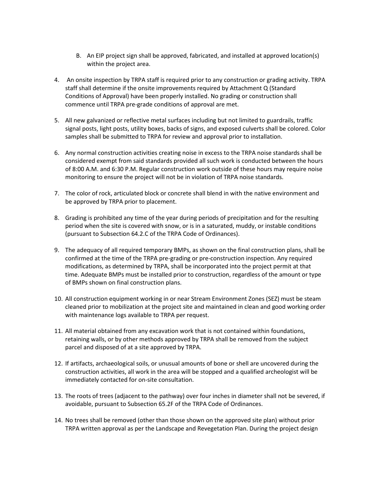- B. An EIP project sign shall be approved, fabricated, and installed at approved location(s) within the project area.
- 4. An onsite inspection by TRPA staff is required prior to any construction or grading activity. TRPA staff shall determine if the onsite improvements required by Attachment Q (Standard Conditions of Approval) have been properly installed. No grading or construction shall commence until TRPA pre-grade conditions of approval are met.
- 5. All new galvanized or reflective metal surfaces including but not limited to guardrails, traffic signal posts, light posts, utility boxes, backs of signs, and exposed culverts shall be colored. Color samples shall be submitted to TRPA for review and approval prior to installation.
- 6. Any normal construction activities creating noise in excess to the TRPA noise standards shall be considered exempt from said standards provided all such work is conducted between the hours of 8:00 A.M. and 6:30 P.M. Regular construction work outside of these hours may require noise monitoring to ensure the project will not be in violation of TRPA noise standards.
- 7. The color of rock, articulated block or concrete shall blend in with the native environment and be approved by TRPA prior to placement.
- 8. Grading is prohibited any time of the year during periods of precipitation and for the resulting period when the site is covered with snow, or is in a saturated, muddy, or instable conditions (pursuant to Subsection 64.2.C of the TRPA Code of Ordinances).
- 9. The adequacy of all required temporary BMPs, as shown on the final construction plans, shall be confirmed at the time of the TRPA pre-grading or pre-construction inspection. Any required modifications, as determined by TRPA, shall be incorporated into the project permit at that time. Adequate BMPs must be installed prior to construction, regardless of the amount or type of BMPs shown on final construction plans.
- 10. All construction equipment working in or near Stream Environment Zones (SEZ) must be steam cleaned prior to mobilization at the project site and maintained in clean and good working order with maintenance logs available to TRPA per request.
- 11. All material obtained from any excavation work that is not contained within foundations, retaining walls, or by other methods approved by TRPA shall be removed from the subject parcel and disposed of at a site approved by TRPA.
- 12. If artifacts, archaeological soils, or unusual amounts of bone or shell are uncovered during the construction activities, all work in the area will be stopped and a qualified archeologist will be immediately contacted for on-site consultation.
- 13. The roots of trees (adjacent to the pathway) over four inches in diameter shall not be severed, if avoidable, pursuant to Subsection 65.2F of the TRPA Code of Ordinances.
- 14. No trees shall be removed (other than those shown on the approved site plan) without prior TRPA written approval as per the Landscape and Revegetation Plan. During the project design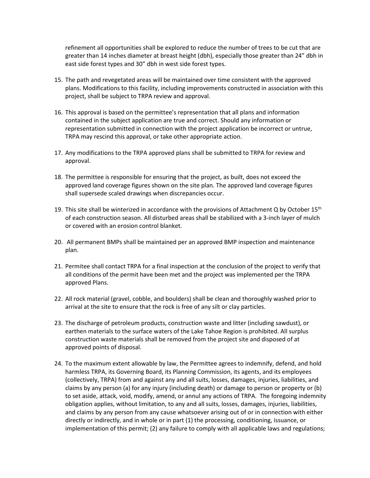refinement all opportunities shall be explored to reduce the number of trees to be cut that are greater than 14 inches diameter at breast height (dbh), especially those greater than 24" dbh in east side forest types and 30" dbh in west side forest types.

- 15. The path and revegetated areas will be maintained over time consistent with the approved plans. Modifications to this facility, including improvements constructed in association with this project, shall be subject to TRPA review and approval.
- 16. This approval is based on the permittee's representation that all plans and information contained in the subject application are true and correct. Should any information or representation submitted in connection with the project application be incorrect or untrue, TRPA may rescind this approval, or take other appropriate action.
- 17. Any modifications to the TRPA approved plans shall be submitted to TRPA for review and approval.
- 18. The permittee is responsible for ensuring that the project, as built, does not exceed the approved land coverage figures shown on the site plan. The approved land coverage figures shall supersede scaled drawings when discrepancies occur.
- 19. This site shall be winterized in accordance with the provisions of Attachment Q by October 15<sup>th</sup> of each construction season. All disturbed areas shall be stabilized with a 3-inch layer of mulch or covered with an erosion control blanket.
- 20. All permanent BMPs shall be maintained per an approved BMP inspection and maintenance plan.
- 21. Permitee shall contact TRPA for a final inspection at the conclusion of the project to verify that all conditions of the permit have been met and the project was implemented per the TRPA approved Plans.
- 22. All rock material (gravel, cobble, and boulders) shall be clean and thoroughly washed prior to arrival at the site to ensure that the rock is free of any silt or clay particles.
- 23. The discharge of petroleum products, construction waste and litter (including sawdust), or earthen materials to the surface waters of the Lake Tahoe Region is prohibited. All surplus construction waste materials shall be removed from the project site and disposed of at approved points of disposal.
- 24. To the maximum extent allowable by law, the Permittee agrees to indemnify, defend, and hold harmless TRPA, its Governing Board, its Planning Commission, its agents, and its employees (collectively, TRPA) from and against any and all suits, losses, damages, injuries, liabilities, and claims by any person (a) for any injury (including death) or damage to person or property or (b) to set aside, attack, void, modify, amend, or annul any actions of TRPA. The foregoing indemnity obligation applies, without limitation, to any and all suits, losses, damages, injuries, liabilities, and claims by any person from any cause whatsoever arising out of or in connection with either directly or indirectly, and in whole or in part (1) the processing, conditioning, issuance, or implementation of this permit; (2) any failure to comply with all applicable laws and regulations;